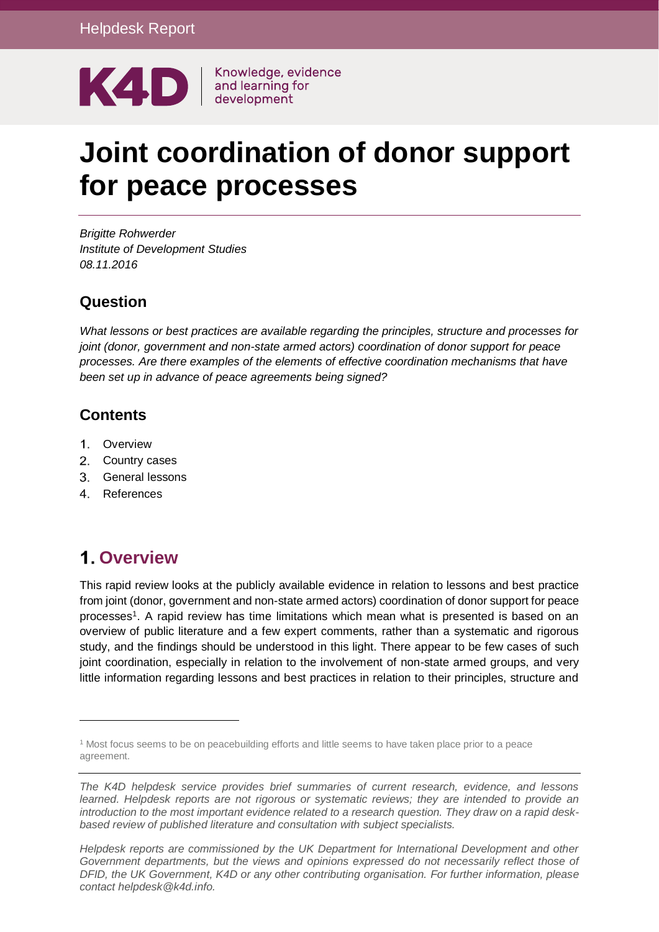

Knowledge, evidence

# **Joint coordination of donor support for peace processes**

*Brigitte Rohwerder Institute of Development Studies 08.11.2016*

## **Question**

*What lessons or best practices are available regarding the principles, structure and processes for joint (donor, government and non-state armed actors) coordination of donor support for peace processes. Are there examples of the elements of effective coordination mechanisms that have been set up in advance of peace agreements being signed?*

# **Contents**

- 1. [Overview](#page-0-0)
- 2. [Country cases](#page-2-0)
- 3. [General lessons](#page-7-0)
- 4. [References](#page-9-0)

# <span id="page-0-0"></span>**Overview**

-

This rapid review looks at the publicly available evidence in relation to lessons and best practice from joint (donor, government and non-state armed actors) coordination of donor support for peace processes<sup>1</sup>. A rapid review has time limitations which mean what is presented is based on an overview of public literature and a few expert comments, rather than a systematic and rigorous study, and the findings should be understood in this light. There appear to be few cases of such joint coordination, especially in relation to the involvement of non-state armed groups, and very little information regarding lessons and best practices in relation to their principles, structure and

<sup>1</sup> Most focus seems to be on peacebuilding efforts and little seems to have taken place prior to a peace agreement.

*The K4D helpdesk service provides brief summaries of current research, evidence, and lessons learned. Helpdesk reports are not rigorous or systematic reviews; they are intended to provide an introduction to the most important evidence related to a research question. They draw on a rapid deskbased review of published literature and consultation with subject specialists.* 

*Helpdesk reports are commissioned by the UK Department for International Development and other*  Government departments, but the views and opinions expressed do not necessarily reflect those of *DFID, the UK Government, K4D or any other contributing organisation. For further information, please contact helpdesk@k4d.info.*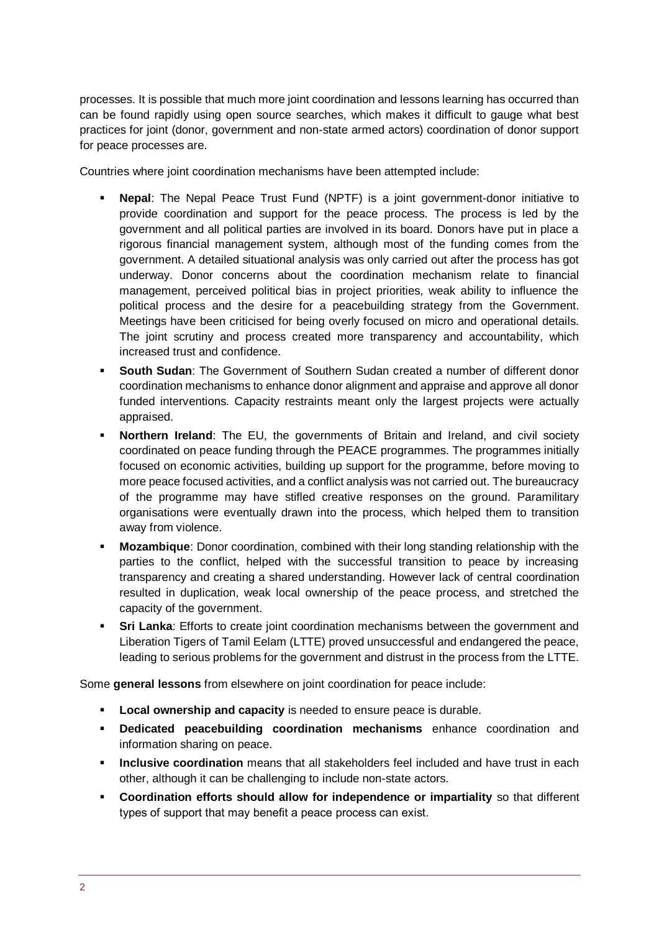processes. It is possible that much more joint coordination and lessons learning has occurred than can be found rapidly using open source searches, which makes it difficult to gauge what best practices for joint (donor, government and non-state armed actors) coordination of donor support for peace processes are.

Countries where joint coordination mechanisms have been attempted include:

- **Nepal:** The Nepal Peace Trust Fund (NPTF) is a joint government-donor initiative to provide coordination and support for the peace process. The process is led by the government and all political parties are involved in its board. Donors have put in place a rigorous financial management system, although most of the funding comes from the government. A detailed situational analysis was only carried out after the process has got underway. Donor concerns about the coordination mechanism relate to financial management, perceived political bias in project priorities, weak ability to influence the political process and the desire for a peacebuilding strategy from the Government. Meetings have been criticised for being overly focused on micro and operational details. The joint scrutiny and process created more transparency and accountability, which increased trust and confidence.
- **South Sudan:** The Government of Southern Sudan created a number of different donor coordination mechanisms to enhance donor alignment and appraise and approve all donor funded interventions. Capacity restraints meant only the largest projects were actually appraised.
- Northern Ireland: The EU, the governments of Britain and Ireland, and civil society coordinated on peace funding through the PEACE programmes. The programmes initially focused on economic activities, building up support for the programme, before moving to more peace focused activities, and a conflict analysis was not carried out. The bureaucracy of the programme may have stifled creative responses on the ground. Paramilitary organisations were eventually drawn into the process, which helped them to transition away from violence.
- **Mozambique:** Donor coordination, combined with their long standing relationship with the parties to the conflict, helped with the successful transition to peace by increasing transparency and creating a shared understanding. However lack of central coordination resulted in duplication, weak local ownership of the peace process, and stretched the capacity of the government.
- **Sri Lanka:** Efforts to create joint coordination mechanisms between the government and Liberation Tigers of Tamil Eelam (LTTE) proved unsuccessful and endangered the peace, leading to serious problems for the government and distrust in the process from the LTTE.

Some **general lessons** from elsewhere on joint coordination for peace include:

- **Local ownership and capacity** is needed to ensure peace is durable.
- **Dedicated peacebuilding coordination mechanisms** enhance coordination and information sharing on peace.
- **EXECT** Inclusive coordination means that all stakeholders feel included and have trust in each other, although it can be challenging to include non-state actors.
- **Coordination efforts should allow for independence or impartiality** so that different types of support that may benefit a peace process can exist.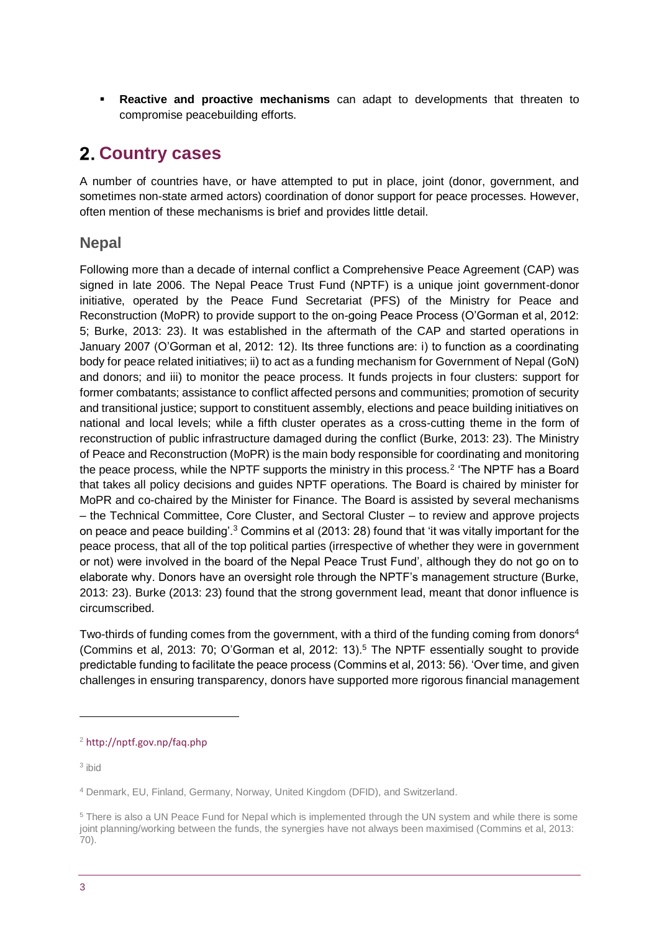**Reactive and proactive mechanisms** can adapt to developments that threaten to compromise peacebuilding efforts.

# <span id="page-2-0"></span>**Country cases**

A number of countries have, or have attempted to put in place, joint (donor, government, and sometimes non-state armed actors) coordination of donor support for peace processes. However, often mention of these mechanisms is brief and provides little detail.

#### **Nepal**

Following more than a decade of internal conflict a Comprehensive Peace Agreement (CAP) was signed in late 2006. The Nepal Peace Trust Fund (NPTF) is a unique joint government-donor initiative, operated by the Peace Fund Secretariat (PFS) of the Ministry for Peace and Reconstruction (MoPR) to provide support to the on-going Peace Process (O'Gorman et al, 2012: 5; Burke, 2013: 23). It was established in the aftermath of the CAP and started operations in January 2007 (O'Gorman et al, 2012: 12). Its three functions are: i) to function as a coordinating body for peace related initiatives; ii) to act as a funding mechanism for Government of Nepal (GoN) and donors; and iii) to monitor the peace process. It funds projects in four clusters: support for former combatants; assistance to conflict affected persons and communities; promotion of security and transitional justice; support to constituent assembly, elections and peace building initiatives on national and local levels; while a fifth cluster operates as a cross-cutting theme in the form of reconstruction of public infrastructure damaged during the conflict (Burke, 2013: 23). The Ministry of Peace and Reconstruction (MoPR) is the main body responsible for coordinating and monitoring the peace process, while the NPTF supports the ministry in this process.<sup>2</sup> 'The NPTF has a Board that takes all policy decisions and guides NPTF operations. The Board is chaired by minister for MoPR and co-chaired by the Minister for Finance. The Board is assisted by several mechanisms – the Technical Committee, Core Cluster, and Sectoral Cluster – to review and approve projects on peace and peace building'.<sup>3</sup> Commins et al (2013: 28) found that 'it was vitally important for the peace process, that all of the top political parties (irrespective of whether they were in government or not) were involved in the board of the Nepal Peace Trust Fund', although they do not go on to elaborate why. Donors have an oversight role through the NPTF's management structure (Burke, 2013: 23). Burke (2013: 23) found that the strong government lead, meant that donor influence is circumscribed.

Two-thirds of funding comes from the government, with a third of the funding coming from donors<sup>4</sup> (Commins et al, 2013: 70; O'Gorman et al, 2012: 13).<sup>5</sup> The NPTF essentially sought to provide predictable funding to facilitate the peace process (Commins et al, 2013: 56). 'Over time, and given challenges in ensuring transparency, donors have supported more rigorous financial management

3 ibid

1

<sup>2</sup> <http://nptf.gov.np/faq.php>

<sup>4</sup> Denmark, EU, Finland, Germany, Norway, United Kingdom (DFID), and Switzerland.

<sup>5</sup> There is also a UN Peace Fund for Nepal which is implemented through the UN system and while there is some joint planning/working between the funds, the synergies have not always been maximised (Commins et al, 2013: 70).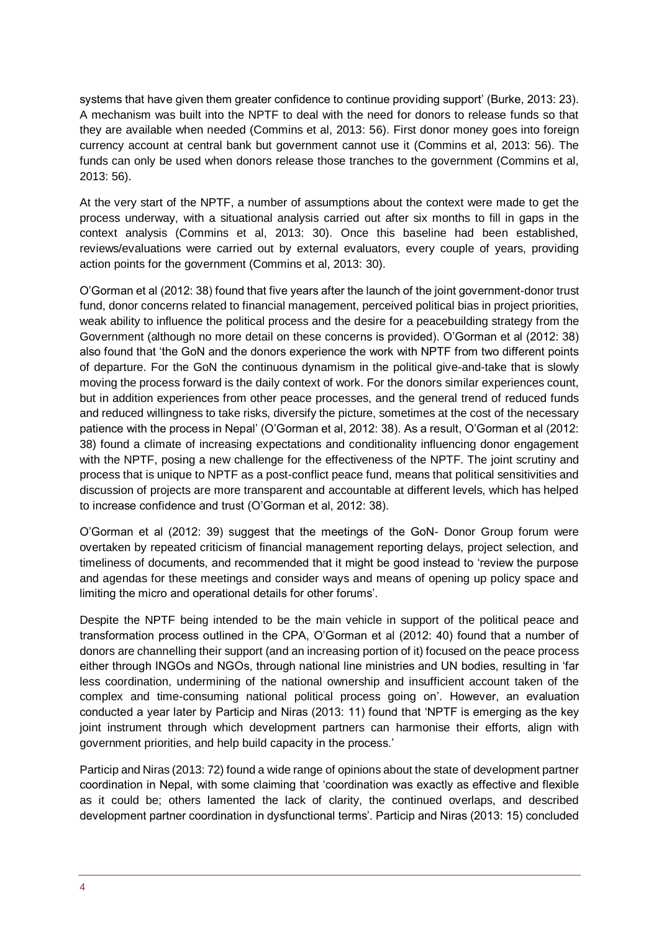systems that have given them greater confidence to continue providing support' (Burke, 2013: 23). A mechanism was built into the NPTF to deal with the need for donors to release funds so that they are available when needed (Commins et al, 2013: 56). First donor money goes into foreign currency account at central bank but government cannot use it (Commins et al, 2013: 56). The funds can only be used when donors release those tranches to the government (Commins et al, 2013: 56).

At the very start of the NPTF, a number of assumptions about the context were made to get the process underway, with a situational analysis carried out after six months to fill in gaps in the context analysis (Commins et al, 2013: 30). Once this baseline had been established, reviews/evaluations were carried out by external evaluators, every couple of years, providing action points for the government (Commins et al, 2013: 30).

O'Gorman et al (2012: 38) found that five years after the launch of the joint government-donor trust fund, donor concerns related to financial management, perceived political bias in project priorities, weak ability to influence the political process and the desire for a peacebuilding strategy from the Government (although no more detail on these concerns is provided). O'Gorman et al (2012: 38) also found that 'the GoN and the donors experience the work with NPTF from two different points of departure. For the GoN the continuous dynamism in the political give-and-take that is slowly moving the process forward is the daily context of work. For the donors similar experiences count, but in addition experiences from other peace processes, and the general trend of reduced funds and reduced willingness to take risks, diversify the picture, sometimes at the cost of the necessary patience with the process in Nepal' (O'Gorman et al, 2012: 38). As a result, O'Gorman et al (2012: 38) found a climate of increasing expectations and conditionality influencing donor engagement with the NPTF, posing a new challenge for the effectiveness of the NPTF. The joint scrutiny and process that is unique to NPTF as a post-conflict peace fund, means that political sensitivities and discussion of projects are more transparent and accountable at different levels, which has helped to increase confidence and trust (O'Gorman et al, 2012: 38).

O'Gorman et al (2012: 39) suggest that the meetings of the GoN- Donor Group forum were overtaken by repeated criticism of financial management reporting delays, project selection, and timeliness of documents, and recommended that it might be good instead to 'review the purpose and agendas for these meetings and consider ways and means of opening up policy space and limiting the micro and operational details for other forums'.

Despite the NPTF being intended to be the main vehicle in support of the political peace and transformation process outlined in the CPA, O'Gorman et al (2012: 40) found that a number of donors are channelling their support (and an increasing portion of it) focused on the peace process either through INGOs and NGOs, through national line ministries and UN bodies, resulting in 'far less coordination, undermining of the national ownership and insufficient account taken of the complex and time-consuming national political process going on'. However, an evaluation conducted a year later by Particip and Niras (2013: 11) found that 'NPTF is emerging as the key joint instrument through which development partners can harmonise their efforts, align with government priorities, and help build capacity in the process.'

Particip and Niras (2013: 72) found a wide range of opinions about the state of development partner coordination in Nepal, with some claiming that 'coordination was exactly as effective and flexible as it could be; others lamented the lack of clarity, the continued overlaps, and described development partner coordination in dysfunctional terms'. Particip and Niras (2013: 15) concluded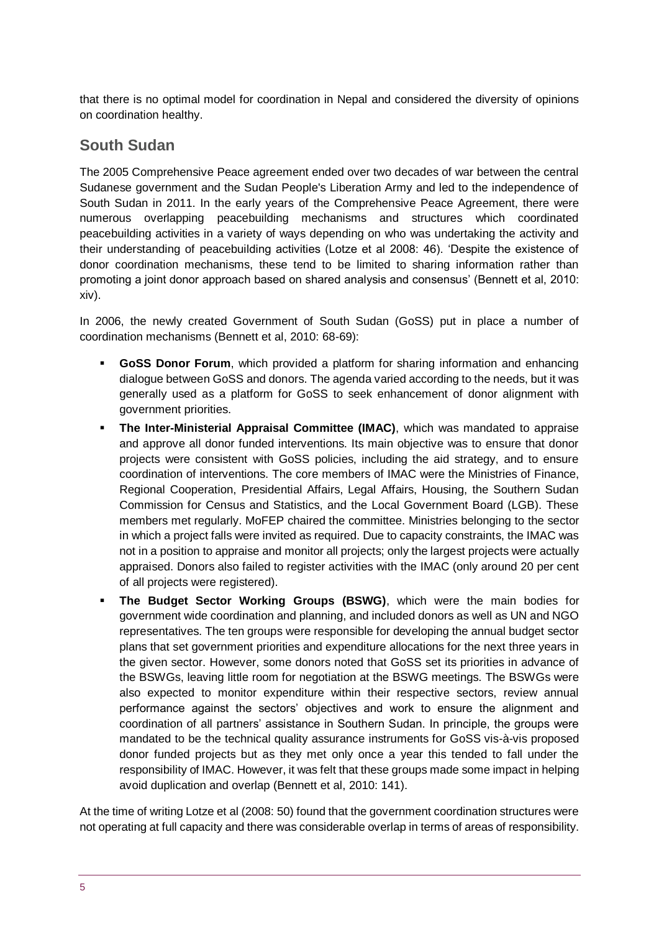that there is no optimal model for coordination in Nepal and considered the diversity of opinions on coordination healthy.

#### **South Sudan**

The 2005 Comprehensive Peace agreement ended over two decades of war between the central Sudanese government and the Sudan People's Liberation Army and led to the independence of South Sudan in 2011. In the early years of the Comprehensive Peace Agreement, there were numerous overlapping peacebuilding mechanisms and structures which coordinated peacebuilding activities in a variety of ways depending on who was undertaking the activity and their understanding of peacebuilding activities (Lotze et al 2008: 46). 'Despite the existence of donor coordination mechanisms, these tend to be limited to sharing information rather than promoting a joint donor approach based on shared analysis and consensus' (Bennett et al, 2010: xiv).

In 2006, the newly created Government of South Sudan (GoSS) put in place a number of coordination mechanisms (Bennett et al, 2010: 68-69):

- **GoSS Donor Forum**, which provided a platform for sharing information and enhancing dialogue between GoSS and donors. The agenda varied according to the needs, but it was generally used as a platform for GoSS to seek enhancement of donor alignment with government priorities.
- **The Inter-Ministerial Appraisal Committee (IMAC)**, which was mandated to appraise and approve all donor funded interventions. Its main objective was to ensure that donor projects were consistent with GoSS policies, including the aid strategy, and to ensure coordination of interventions. The core members of IMAC were the Ministries of Finance, Regional Cooperation, Presidential Affairs, Legal Affairs, Housing, the Southern Sudan Commission for Census and Statistics, and the Local Government Board (LGB). These members met regularly. MoFEP chaired the committee. Ministries belonging to the sector in which a project falls were invited as required. Due to capacity constraints, the IMAC was not in a position to appraise and monitor all projects; only the largest projects were actually appraised. Donors also failed to register activities with the IMAC (only around 20 per cent of all projects were registered).
- **The Budget Sector Working Groups (BSWG)**, which were the main bodies for government wide coordination and planning, and included donors as well as UN and NGO representatives. The ten groups were responsible for developing the annual budget sector plans that set government priorities and expenditure allocations for the next three years in the given sector. However, some donors noted that GoSS set its priorities in advance of the BSWGs, leaving little room for negotiation at the BSWG meetings. The BSWGs were also expected to monitor expenditure within their respective sectors, review annual performance against the sectors' objectives and work to ensure the alignment and coordination of all partners' assistance in Southern Sudan. In principle, the groups were mandated to be the technical quality assurance instruments for GoSS vis-à-vis proposed donor funded projects but as they met only once a year this tended to fall under the responsibility of IMAC. However, it was felt that these groups made some impact in helping avoid duplication and overlap (Bennett et al, 2010: 141).

At the time of writing Lotze et al (2008: 50) found that the government coordination structures were not operating at full capacity and there was considerable overlap in terms of areas of responsibility.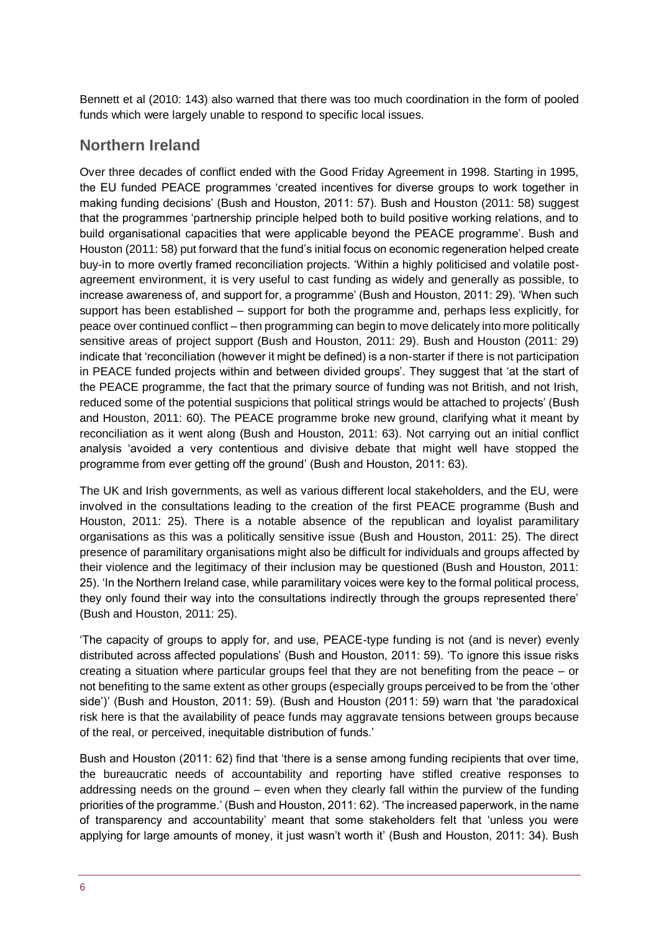Bennett et al (2010: 143) also warned that there was too much coordination in the form of pooled funds which were largely unable to respond to specific local issues.

### **Northern Ireland**

Over three decades of conflict ended with the Good Friday Agreement in 1998. Starting in 1995, the EU funded PEACE programmes 'created incentives for diverse groups to work together in making funding decisions' (Bush and Houston, 2011: 57). Bush and Houston (2011: 58) suggest that the programmes 'partnership principle helped both to build positive working relations, and to build organisational capacities that were applicable beyond the PEACE programme'. Bush and Houston (2011: 58) put forward that the fund's initial focus on economic regeneration helped create buy-in to more overtly framed reconciliation projects. 'Within a highly politicised and volatile postagreement environment, it is very useful to cast funding as widely and generally as possible, to increase awareness of, and support for, a programme' (Bush and Houston, 2011: 29). 'When such support has been established – support for both the programme and, perhaps less explicitly, for peace over continued conflict – then programming can begin to move delicately into more politically sensitive areas of project support (Bush and Houston, 2011: 29). Bush and Houston (2011: 29) indicate that 'reconciliation (however it might be defined) is a non-starter if there is not participation in PEACE funded projects within and between divided groups'. They suggest that 'at the start of the PEACE programme, the fact that the primary source of funding was not British, and not Irish, reduced some of the potential suspicions that political strings would be attached to projects' (Bush and Houston, 2011: 60). The PEACE programme broke new ground, clarifying what it meant by reconciliation as it went along (Bush and Houston, 2011: 63). Not carrying out an initial conflict analysis 'avoided a very contentious and divisive debate that might well have stopped the programme from ever getting off the ground' (Bush and Houston, 2011: 63).

The UK and Irish governments, as well as various different local stakeholders, and the EU, were involved in the consultations leading to the creation of the first PEACE programme (Bush and Houston, 2011: 25). There is a notable absence of the republican and loyalist paramilitary organisations as this was a politically sensitive issue (Bush and Houston, 2011: 25). The direct presence of paramilitary organisations might also be difficult for individuals and groups affected by their violence and the legitimacy of their inclusion may be questioned (Bush and Houston, 2011: 25). 'In the Northern Ireland case, while paramilitary voices were key to the formal political process, they only found their way into the consultations indirectly through the groups represented there' (Bush and Houston, 2011: 25).

'The capacity of groups to apply for, and use, PEACE-type funding is not (and is never) evenly distributed across affected populations' (Bush and Houston, 2011: 59). 'To ignore this issue risks creating a situation where particular groups feel that they are not benefiting from the peace – or not benefiting to the same extent as other groups (especially groups perceived to be from the 'other side')' (Bush and Houston, 2011: 59). (Bush and Houston (2011: 59) warn that 'the paradoxical risk here is that the availability of peace funds may aggravate tensions between groups because of the real, or perceived, inequitable distribution of funds.'

Bush and Houston (2011: 62) find that 'there is a sense among funding recipients that over time, the bureaucratic needs of accountability and reporting have stifled creative responses to addressing needs on the ground – even when they clearly fall within the purview of the funding priorities of the programme.' (Bush and Houston, 2011: 62). 'The increased paperwork, in the name of transparency and accountability' meant that some stakeholders felt that 'unless you were applying for large amounts of money, it just wasn't worth it' (Bush and Houston, 2011: 34). Bush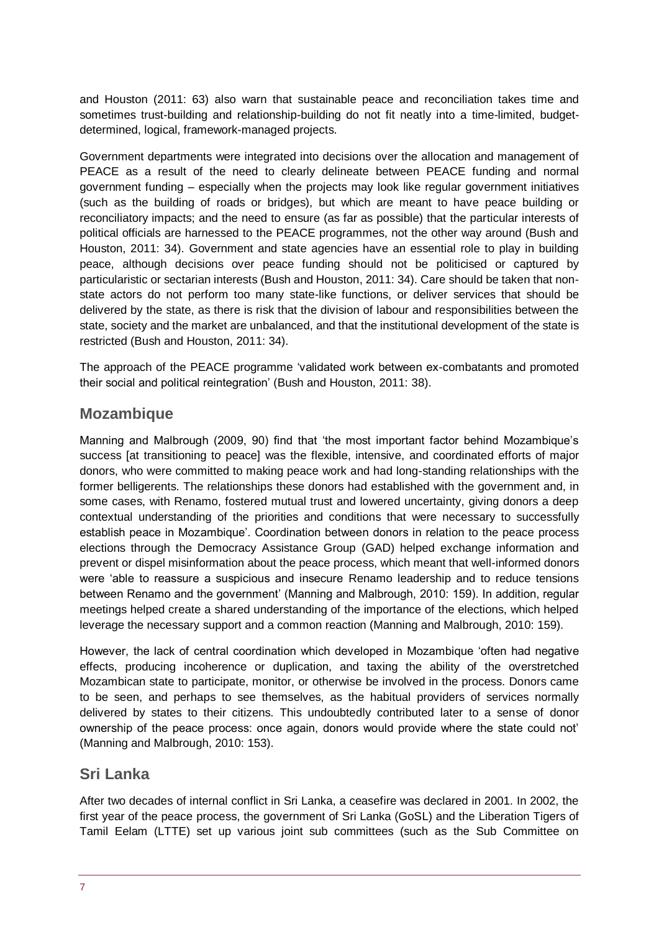and Houston (2011: 63) also warn that sustainable peace and reconciliation takes time and sometimes trust-building and relationship-building do not fit neatly into a time-limited, budgetdetermined, logical, framework-managed projects.

Government departments were integrated into decisions over the allocation and management of PEACE as a result of the need to clearly delineate between PEACE funding and normal government funding – especially when the projects may look like regular government initiatives (such as the building of roads or bridges), but which are meant to have peace building or reconciliatory impacts; and the need to ensure (as far as possible) that the particular interests of political officials are harnessed to the PEACE programmes, not the other way around (Bush and Houston, 2011: 34). Government and state agencies have an essential role to play in building peace, although decisions over peace funding should not be politicised or captured by particularistic or sectarian interests (Bush and Houston, 2011: 34). Care should be taken that nonstate actors do not perform too many state-like functions, or deliver services that should be delivered by the state, as there is risk that the division of labour and responsibilities between the state, society and the market are unbalanced, and that the institutional development of the state is restricted (Bush and Houston, 2011: 34).

The approach of the PEACE programme 'validated work between ex-combatants and promoted their social and political reintegration' (Bush and Houston, 2011: 38).

#### **Mozambique**

Manning and Malbrough (2009, 90) find that 'the most important factor behind Mozambique's success [at transitioning to peace] was the flexible, intensive, and coordinated efforts of major donors, who were committed to making peace work and had long-standing relationships with the former belligerents. The relationships these donors had established with the government and, in some cases, with Renamo, fostered mutual trust and lowered uncertainty, giving donors a deep contextual understanding of the priorities and conditions that were necessary to successfully establish peace in Mozambique'. Coordination between donors in relation to the peace process elections through the Democracy Assistance Group (GAD) helped exchange information and prevent or dispel misinformation about the peace process, which meant that well-informed donors were 'able to reassure a suspicious and insecure Renamo leadership and to reduce tensions between Renamo and the government' (Manning and Malbrough, 2010: 159). In addition, regular meetings helped create a shared understanding of the importance of the elections, which helped leverage the necessary support and a common reaction (Manning and Malbrough, 2010: 159).

However, the lack of central coordination which developed in Mozambique 'often had negative effects, producing incoherence or duplication, and taxing the ability of the overstretched Mozambican state to participate, monitor, or otherwise be involved in the process. Donors came to be seen, and perhaps to see themselves, as the habitual providers of services normally delivered by states to their citizens. This undoubtedly contributed later to a sense of donor ownership of the peace process: once again, donors would provide where the state could not' (Manning and Malbrough, 2010: 153).

#### **Sri Lanka**

After two decades of internal conflict in Sri Lanka, a ceasefire was declared in 2001. In 2002, the first year of the peace process, the government of Sri Lanka (GoSL) and the Liberation Tigers of Tamil Eelam (LTTE) set up various joint sub committees (such as the Sub Committee on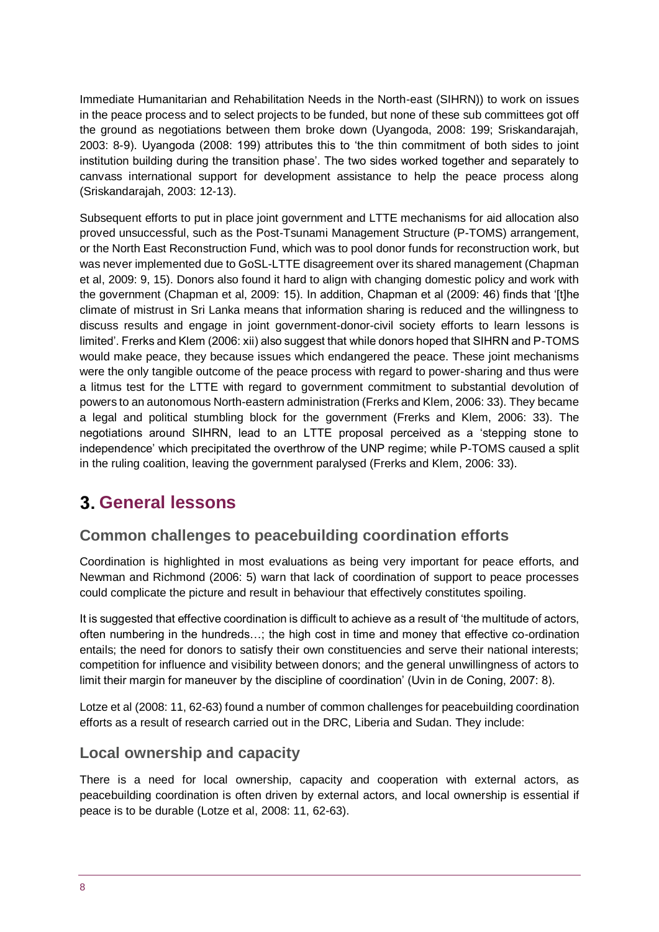Immediate Humanitarian and Rehabilitation Needs in the North-east (SIHRN)) to work on issues in the peace process and to select projects to be funded, but none of these sub committees got off the ground as negotiations between them broke down (Uyangoda, 2008: 199; Sriskandarajah, 2003: 8-9). Uyangoda (2008: 199) attributes this to 'the thin commitment of both sides to joint institution building during the transition phase'. The two sides worked together and separately to canvass international support for development assistance to help the peace process along (Sriskandarajah, 2003: 12-13).

Subsequent efforts to put in place joint government and LTTE mechanisms for aid allocation also proved unsuccessful, such as the Post-Tsunami Management Structure (P-TOMS) arrangement, or the North East Reconstruction Fund, which was to pool donor funds for reconstruction work, but was never implemented due to GoSL-LTTE disagreement over its shared management (Chapman et al, 2009: 9, 15). Donors also found it hard to align with changing domestic policy and work with the government (Chapman et al, 2009: 15). In addition, Chapman et al (2009: 46) finds that '[t]he climate of mistrust in Sri Lanka means that information sharing is reduced and the willingness to discuss results and engage in joint government-donor-civil society efforts to learn lessons is limited'. Frerks and Klem (2006: xii) also suggest that while donors hoped that SIHRN and P-TOMS would make peace, they because issues which endangered the peace. These joint mechanisms were the only tangible outcome of the peace process with regard to power-sharing and thus were a litmus test for the LTTE with regard to government commitment to substantial devolution of powers to an autonomous North-eastern administration (Frerks and Klem, 2006: 33). They became a legal and political stumbling block for the government (Frerks and Klem, 2006: 33). The negotiations around SIHRN, lead to an LTTE proposal perceived as a 'stepping stone to independence' which precipitated the overthrow of the UNP regime; while P-TOMS caused a split in the ruling coalition, leaving the government paralysed (Frerks and Klem, 2006: 33).

# <span id="page-7-0"></span>**General lessons**

## **Common challenges to peacebuilding coordination efforts**

Coordination is highlighted in most evaluations as being very important for peace efforts, and Newman and Richmond (2006: 5) warn that lack of coordination of support to peace processes could complicate the picture and result in behaviour that effectively constitutes spoiling.

It is suggested that effective coordination is difficult to achieve as a result of 'the multitude of actors, often numbering in the hundreds…; the high cost in time and money that effective co-ordination entails; the need for donors to satisfy their own constituencies and serve their national interests; competition for influence and visibility between donors; and the general unwillingness of actors to limit their margin for maneuver by the discipline of coordination' (Uvin in de Coning, 2007: 8).

Lotze et al (2008: 11, 62-63) found a number of common challenges for peacebuilding coordination efforts as a result of research carried out in the DRC, Liberia and Sudan. They include:

#### **Local ownership and capacity**

There is a need for local ownership, capacity and cooperation with external actors, as peacebuilding coordination is often driven by external actors, and local ownership is essential if peace is to be durable (Lotze et al, 2008: 11, 62-63).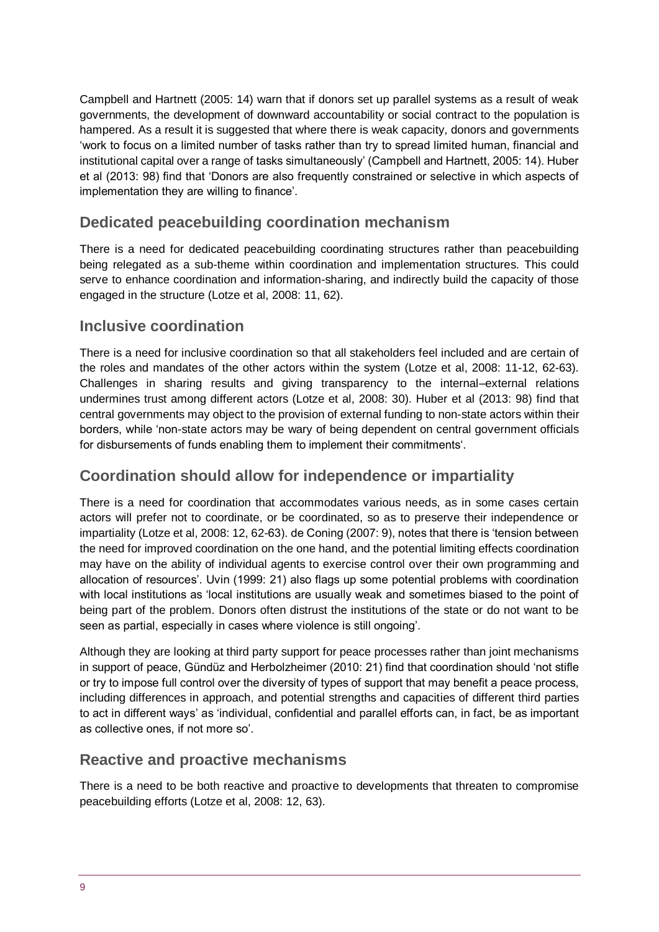Campbell and Hartnett (2005: 14) warn that if donors set up parallel systems as a result of weak governments, the development of downward accountability or social contract to the population is hampered. As a result it is suggested that where there is weak capacity, donors and governments 'work to focus on a limited number of tasks rather than try to spread limited human, financial and institutional capital over a range of tasks simultaneously' (Campbell and Hartnett, 2005: 14). Huber et al (2013: 98) find that 'Donors are also frequently constrained or selective in which aspects of implementation they are willing to finance'.

## **Dedicated peacebuilding coordination mechanism**

There is a need for dedicated peacebuilding coordinating structures rather than peacebuilding being relegated as a sub-theme within coordination and implementation structures. This could serve to enhance coordination and information-sharing, and indirectly build the capacity of those engaged in the structure (Lotze et al, 2008: 11, 62).

#### **Inclusive coordination**

There is a need for inclusive coordination so that all stakeholders feel included and are certain of the roles and mandates of the other actors within the system (Lotze et al, 2008: 11-12, 62-63). Challenges in sharing results and giving transparency to the internal–external relations undermines trust among different actors (Lotze et al, 2008: 30). Huber et al (2013: 98) find that central governments may object to the provision of external funding to non-state actors within their borders, while 'non-state actors may be wary of being dependent on central government officials for disbursements of funds enabling them to implement their commitments'.

## **Coordination should allow for independence or impartiality**

There is a need for coordination that accommodates various needs, as in some cases certain actors will prefer not to coordinate, or be coordinated, so as to preserve their independence or impartiality (Lotze et al, 2008: 12, 62-63). de Coning (2007: 9), notes that there is 'tension between the need for improved coordination on the one hand, and the potential limiting effects coordination may have on the ability of individual agents to exercise control over their own programming and allocation of resources'. Uvin (1999: 21) also flags up some potential problems with coordination with local institutions as 'local institutions are usually weak and sometimes biased to the point of being part of the problem. Donors often distrust the institutions of the state or do not want to be seen as partial, especially in cases where violence is still ongoing'.

Although they are looking at third party support for peace processes rather than joint mechanisms in support of peace, Gündüz and Herbolzheimer (2010: 21) find that coordination should 'not stifle or try to impose full control over the diversity of types of support that may benefit a peace process, including differences in approach, and potential strengths and capacities of different third parties to act in different ways' as 'individual, confidential and parallel efforts can, in fact, be as important as collective ones, if not more so'.

#### **Reactive and proactive mechanisms**

There is a need to be both reactive and proactive to developments that threaten to compromise peacebuilding efforts (Lotze et al, 2008: 12, 63).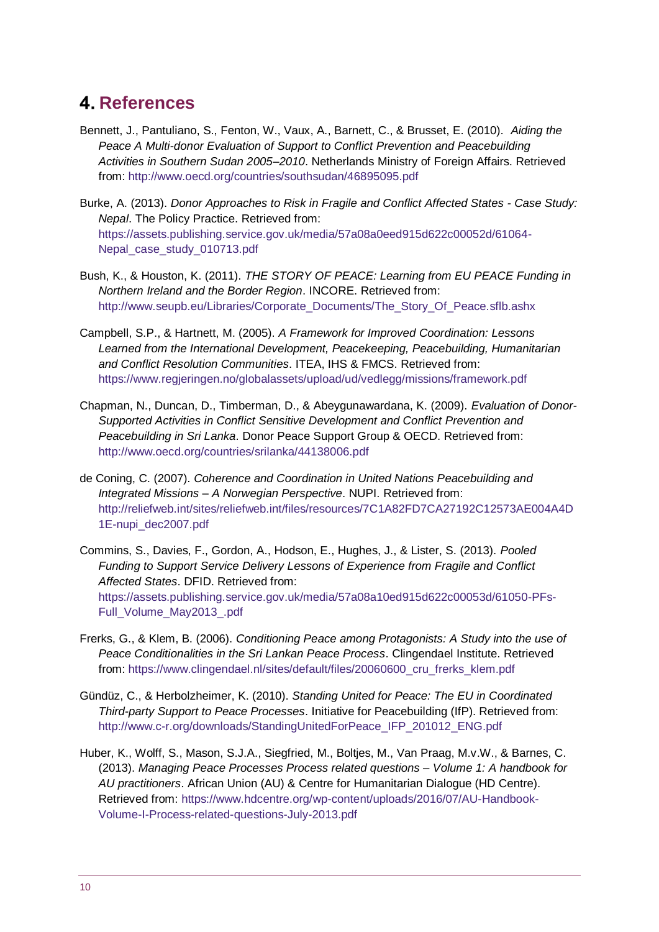# <span id="page-9-0"></span>**References**

- Bennett, J., Pantuliano, S., Fenton, W., Vaux, A., Barnett, C., & Brusset, E. (2010). *Aiding the Peace A Multi-donor Evaluation of Support to Conflict Prevention and Peacebuilding Activities in Southern Sudan 2005–2010*. Netherlands Ministry of Foreign Affairs. Retrieved from:<http://www.oecd.org/countries/southsudan/46895095.pdf>
- Burke, A. (2013). *Donor Approaches to Risk in Fragile and Conflict Affected States - Case Study: Nepal*. The Policy Practice. Retrieved from: [https://assets.publishing.service.gov.uk/media/57a08a0eed915d622c00052d/61064-](https://assets.publishing.service.gov.uk/media/57a08a0eed915d622c00052d/61064-Nepal_case_study_010713.pdf) [Nepal\\_case\\_study\\_010713.pdf](https://assets.publishing.service.gov.uk/media/57a08a0eed915d622c00052d/61064-Nepal_case_study_010713.pdf)
- Bush, K., & Houston, K. (2011). *THE STORY OF PEACE: Learning from EU PEACE Funding in Northern Ireland and the Border Region*. INCORE. Retrieved from: [http://www.seupb.eu/Libraries/Corporate\\_Documents/The\\_Story\\_Of\\_Peace.sflb.ashx](http://www.seupb.eu/Libraries/Corporate_Documents/The_Story_Of_Peace.sflb.ashx)
- Campbell, S.P., & Hartnett, M. (2005). *A Framework for Improved Coordination: Lessons Learned from the International Development, Peacekeeping, Peacebuilding, Humanitarian and Conflict Resolution Communities*. ITEA, IHS & FMCS. Retrieved from: <https://www.regjeringen.no/globalassets/upload/ud/vedlegg/missions/framework.pdf>
- Chapman, N., Duncan, D., Timberman, D., & Abeygunawardana, K. (2009). *Evaluation of Donor-Supported Activities in Conflict Sensitive Development and Conflict Prevention and Peacebuilding in Sri Lanka*. Donor Peace Support Group & OECD. Retrieved from: <http://www.oecd.org/countries/srilanka/44138006.pdf>
- de Coning, C. (2007). *Coherence and Coordination in United Nations Peacebuilding and Integrated Missions – A Norwegian Perspective*. NUPI. Retrieved from: [http://reliefweb.int/sites/reliefweb.int/files/resources/7C1A82FD7CA27192C12573AE004A4D](http://reliefweb.int/sites/reliefweb.int/files/resources/7C1A82FD7CA27192C12573AE004A4D1E-nupi_dec2007.pdf) [1E-nupi\\_dec2007.pdf](http://reliefweb.int/sites/reliefweb.int/files/resources/7C1A82FD7CA27192C12573AE004A4D1E-nupi_dec2007.pdf)
- Commins, S., Davies, F., Gordon, A., Hodson, E., Hughes, J., & Lister, S. (2013). *Pooled Funding to Support Service Delivery Lessons of Experience from Fragile and Conflict Affected States*. DFID. Retrieved from: [https://assets.publishing.service.gov.uk/media/57a08a10ed915d622c00053d/61050-PFs-](https://assets.publishing.service.gov.uk/media/57a08a10ed915d622c00053d/61050-PFs-Full_Volume_May2013_.pdf)[Full\\_Volume\\_May2013\\_.pdf](https://assets.publishing.service.gov.uk/media/57a08a10ed915d622c00053d/61050-PFs-Full_Volume_May2013_.pdf)
- Frerks, G., & Klem, B. (2006). *Conditioning Peace among Protagonists: A Study into the use of Peace Conditionalities in the Sri Lankan Peace Process*. Clingendael Institute. Retrieved from: [https://www.clingendael.nl/sites/default/files/20060600\\_cru\\_frerks\\_klem.pdf](https://www.clingendael.nl/sites/default/files/20060600_cru_frerks_klem.pdf)
- Gündüz, C., & Herbolzheimer, K. (2010). *Standing United for Peace: The EU in Coordinated Third-party Support to Peace Processes*. Initiative for Peacebuilding (IfP). Retrieved from: [http://www.c-r.org/downloads/StandingUnitedForPeace\\_IFP\\_201012\\_ENG.pdf](http://www.c-r.org/downloads/StandingUnitedForPeace_IFP_201012_ENG.pdf)
- Huber, K., Wolff, S., Mason, S.J.A., Siegfried, M., Boltjes, M., Van Praag, M.v.W., & Barnes, C. (2013). *Managing Peace Processes Process related questions – Volume 1: A handbook for AU practitioners*. African Union (AU) & Centre for Humanitarian Dialogue (HD Centre). Retrieved from: [https://www.hdcentre.org/wp-content/uploads/2016/07/AU-Handbook-](https://www.hdcentre.org/wp-content/uploads/2016/07/AU-Handbook-Volume-I-Process-related-questions-July-2013.pdf)[Volume-I-Process-related-questions-July-2013.pdf](https://www.hdcentre.org/wp-content/uploads/2016/07/AU-Handbook-Volume-I-Process-related-questions-July-2013.pdf)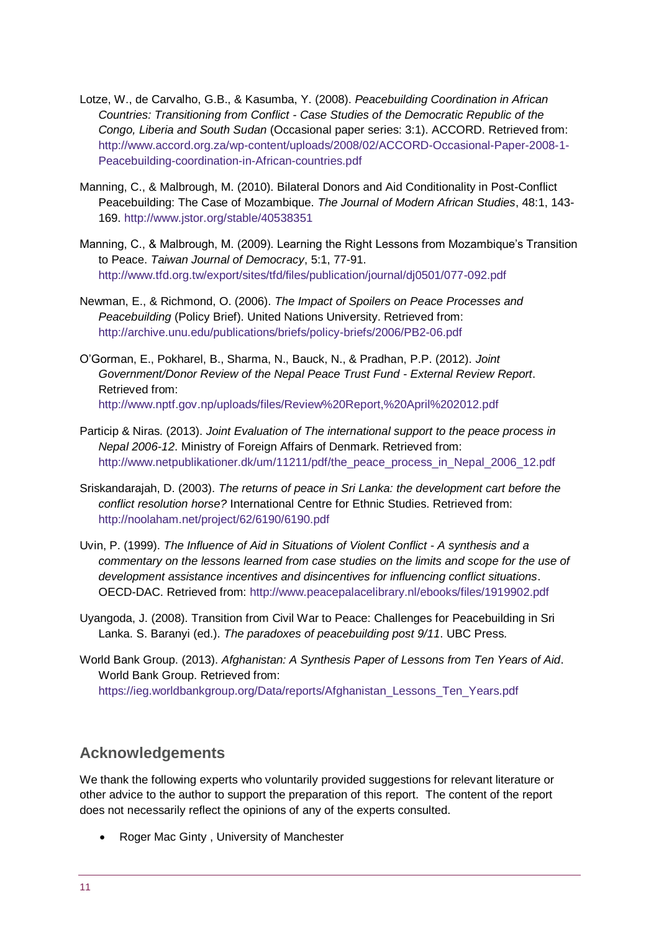- Lotze, W., de Carvalho, G.B., & Kasumba, Y. (2008). *Peacebuilding Coordination in African Countries: Transitioning from Conflict - Case Studies of the Democratic Republic of the Congo, Liberia and South Sudan* (Occasional paper series: 3:1). ACCORD. Retrieved from: [http://www.accord.org.za/wp-content/uploads/2008/02/ACCORD-Occasional-Paper-2008-1-](http://www.accord.org.za/wp-content/uploads/2008/02/ACCORD-Occasional-Paper-2008-1-Peacebuilding-coordination-in-African-countries.pdf) [Peacebuilding-coordination-in-African-countries.pdf](http://www.accord.org.za/wp-content/uploads/2008/02/ACCORD-Occasional-Paper-2008-1-Peacebuilding-coordination-in-African-countries.pdf)
- Manning, C., & Malbrough, M. (2010). Bilateral Donors and Aid Conditionality in Post-Conflict Peacebuilding: The Case of Mozambique. *The Journal of Modern African Studies*, 48:1, 143- 169.<http://www.jstor.org/stable/40538351>
- Manning, C., & Malbrough, M. (2009). Learning the Right Lessons from Mozambique's Transition to Peace. *Taiwan Journal of Democracy*, 5:1, 77-91. <http://www.tfd.org.tw/export/sites/tfd/files/publication/journal/dj0501/077-092.pdf>
- Newman, E., & Richmond, O. (2006). *The Impact of Spoilers on Peace Processes and Peacebuilding* (Policy Brief). United Nations University. Retrieved from: <http://archive.unu.edu/publications/briefs/policy-briefs/2006/PB2-06.pdf>
- O'Gorman, E., Pokharel, B., Sharma, N., Bauck, N., & Pradhan, P.P. (2012). *Joint Government/Donor Review of the Nepal Peace Trust Fund - External Review Report*. Retrieved from: <http://www.nptf.gov.np/uploads/files/Review%20Report,%20April%202012.pdf>
- Particip & Niras. (2013). *Joint Evaluation of The international support to the peace process in Nepal 2006-12*. Ministry of Foreign Affairs of Denmark. Retrieved from: [http://www.netpublikationer.dk/um/11211/pdf/the\\_peace\\_process\\_in\\_Nepal\\_2006\\_12.pdf](http://www.netpublikationer.dk/um/11211/pdf/the_peace_process_in_Nepal_2006_12.pdf)
- Sriskandarajah, D. (2003). *The returns of peace in Sri Lanka: the development cart before the conflict resolution horse?* International Centre for Ethnic Studies. Retrieved from: <http://noolaham.net/project/62/6190/6190.pdf>
- Uvin, P. (1999). *The Influence of Aid in Situations of Violent Conflict - A synthesis and a commentary on the lessons learned from case studies on the limits and scope for the use of development assistance incentives and disincentives for influencing conflict situations*. OECD-DAC. Retrieved from:<http://www.peacepalacelibrary.nl/ebooks/files/1919902.pdf>
- Uyangoda, J. (2008). Transition from Civil War to Peace: Challenges for Peacebuilding in Sri Lanka. S. Baranyi (ed.). *The paradoxes of peacebuilding post 9/11*. UBC Press.
- World Bank Group. (2013). *Afghanistan: A Synthesis Paper of Lessons from Ten Years of Aid*. World Bank Group. Retrieved from: [https://ieg.worldbankgroup.org/Data/reports/Afghanistan\\_Lessons\\_Ten\\_Years.pdf](https://ieg.worldbankgroup.org/Data/reports/Afghanistan_Lessons_Ten_Years.pdf)

#### **Acknowledgements**

We thank the following experts who voluntarily provided suggestions for relevant literature or other advice to the author to support the preparation of this report. The content of the report does not necessarily reflect the opinions of any of the experts consulted.

• Roger Mac Ginty , University of Manchester